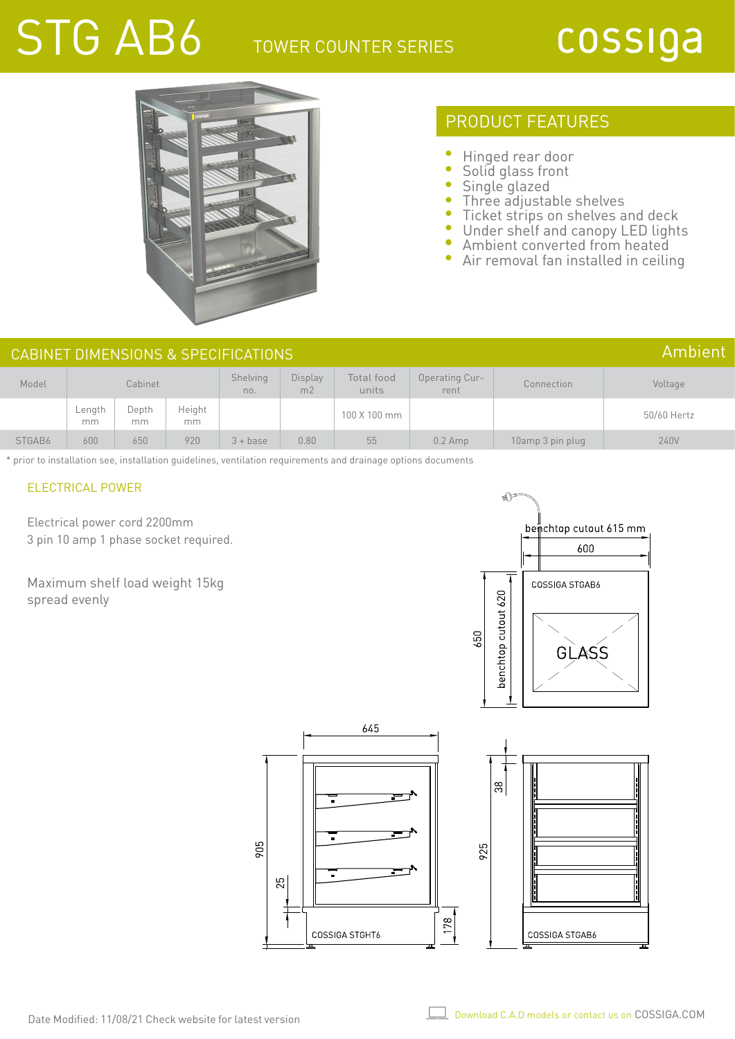# STG AB6 TOWER COUNTER SERIES

# cossiga



## PRODUCT FEATURES

- Hinged rear door
- ò Solid glass front
- Single glazed
- Three adjustable shelves
- $\bullet$ Ticket strips on shelves and deck
- $\bullet$ Under shelf and canopy LED lights
- $\bullet$ Ambient converted from heated
- $\bullet$ Air removal fan installed in ceiling

|        |              |             |              | CABINET DIMENSIONS & SPECIFICATIONS |                           |                     |                               |                  | Ambient     |
|--------|--------------|-------------|--------------|-------------------------------------|---------------------------|---------------------|-------------------------------|------------------|-------------|
| Model  |              | Cabinet     |              | Shelving<br>no.                     | Display<br>m <sub>2</sub> | Total food<br>units | <b>Operating Cur-</b><br>rent | Connection       | Voltage     |
|        | Length<br>mm | Depth<br>mm | Height<br>mm |                                     |                           | 100 X 100 mm        |                               |                  | 50/60 Hertz |
| STGAB6 | 600          | 650         | 920          | $3 + base$                          | 0.80                      | 55                  | $0.2$ Amp                     | 10amp 3 pin plug | 240V        |

\* prior to installation see, installation guidelines, ventilation requirements and drainage options documents

### ELECTRICAL POWER

Electrical power cord 2200mm 3 pin 10 amp 1 phase socket required.



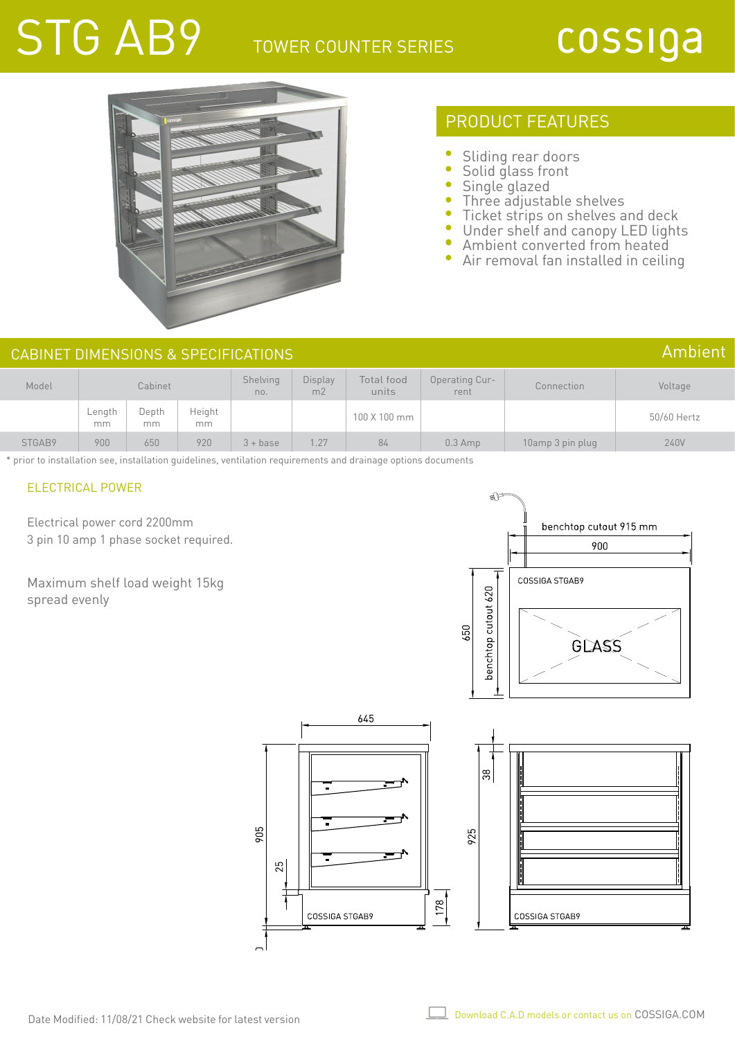# STG AB9

## TOWER COUNTER SERIES

# cossiga



## PRODUCT FEATURES

- Sliding rear doors
- ò Solid glass front
- Single glazed
- Three adjustable shelves
- ó Ticket strips on shelves and deck
- $\bullet$ Under shelf and canopy LED lights
- Ambient converted from heated
- ä Air removal fan installed in ceiling

#### Model Cabinet Shelving no. Display  $\frac{1}{2}$ Total food units Operating Current Connection Voltage Length mm Depth mm Height mm 50/60 Hertz<br>mm 50/60 Hertz STGAB9 900 650 920 3 + base 1.27 84 0.3 Amp 10amp 3 pin plug 240V CABINET DIMENSIONS & SPECIFICATIONS Ambient

\* prior to installation see, installation guidelines, ventilation requirements and drainage options documents

## ELECTRICAL POWER

Electrical power cord 2200mm 3 pin 10 amp 1 phase socket required.



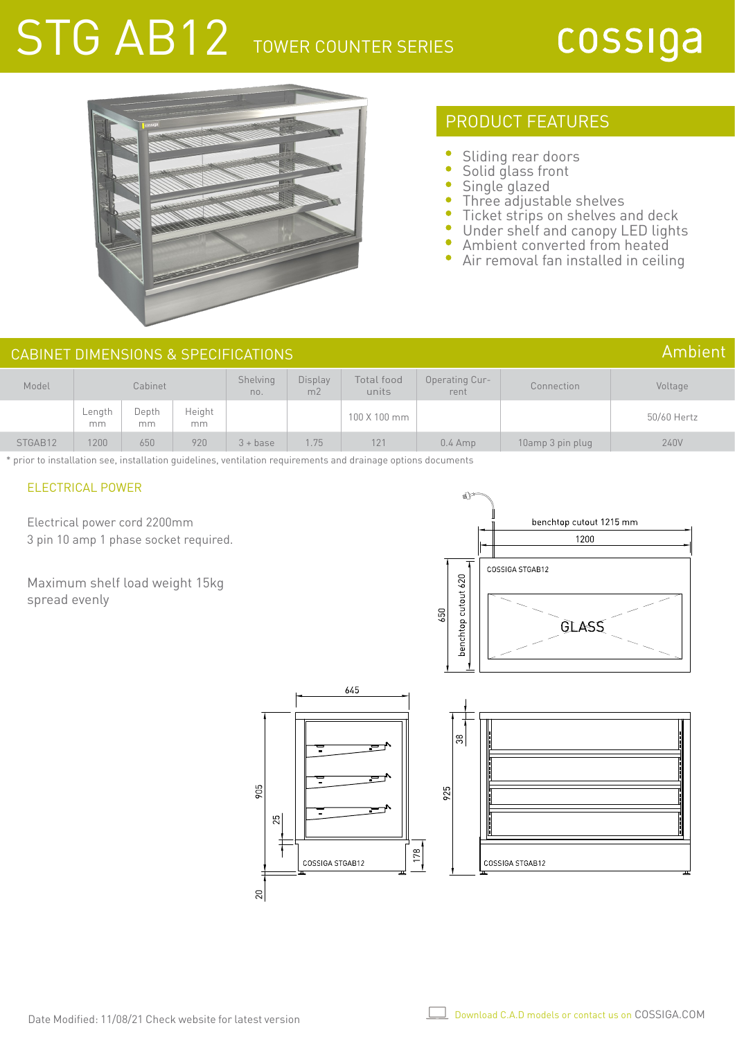# STG AB12 TOWER COUNTER SERIES

## cossiga



## PRODUCT FEATURES

- Sliding rear doors
- Solid glass front
- Single glazed
- Three adjustable shelves
- $\bullet$ Ticket strips on shelves and deck
- $\bullet$ Under shelf and canopy LED lights
- Ambient converted from heated
- ò Air removal fan installed in ceiling

#### Model Cabinet Shelving no. Display  $\frac{1}{2}$ Total food units Operating Current Connection Voltage Length mm Depth mm Height mm 50/60 Hertz<br>mm 50/60 Hertz STGAB12 1200 650 920 3+ base 1.75 121 0.4 Amp 10amp 3 pin plug 240V CABINET DIMENSIONS & SPECIFICATIONS Ambient

\* prior to installation see, installation guidelines, ventilation requirements and drainage options documents

## ELECTRICAL POWER

Electrical power cord 2200mm 3 pin 10 amp 1 phase socket required.



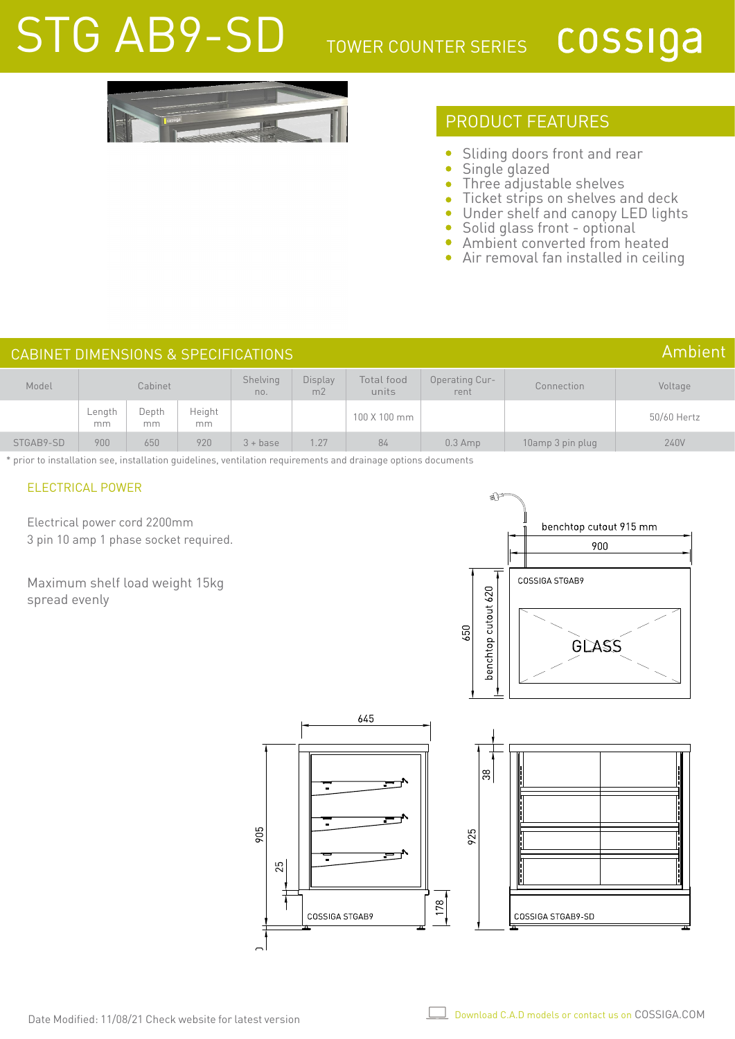# STG AB9-SD TOWER COUNTER SERIES

## cossiga

## PRODUCT FEATURES

- $\bullet$ Sliding doors front and rear
- Single glazed  $\bullet$
- Three adjustable shelves ò
- Ticket strips on shelves and deck Ċ
- Under shelf and canopy LED lights  $\bullet$
- Solid glass front optional  $\bullet$
- Ambient converted from heated  $\bullet$
- Air removal fan installed in ceiling ò

#### Model Cabinet Shelving no. Display m2 Total food units Operating Current Connection Voltage Length mm Depth mm Height mm 50/60 Hertz<br>mm 50/60 Hertz STGAB9-SD 900 650 920 3 + base 1.27 84 0.3 Amp 10amp 3 pin plug 240V CABINET DIMENSIONS & SPECIFICATIONS Ambient

\* prior to installation see, installation guidelines, ventilation requirements and drainage options documents

## ELECTRICAL POWER

Electrical power cord 2200mm 3 pin 10 amp 1 phase socket required.